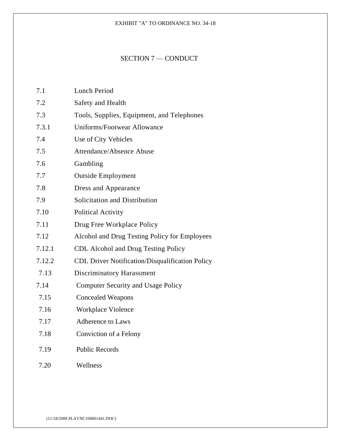## EXHIBIT "A" TO ORDINANCE NO. 34-18

## SECTION 7 — CONDUCT

| 7.1    | <b>Lunch Period</b>                                    |
|--------|--------------------------------------------------------|
| 7.2    | Safety and Health                                      |
| 7.3    | Tools, Supplies, Equipment, and Telephones             |
| 7.3.1  | Uniforms/Footwear Allowance                            |
| 7.4    | Use of City Vehicles                                   |
| 7.5    | Attendance/Absence Abuse                               |
| 7.6    | Gambling                                               |
| 7.7    | <b>Outside Employment</b>                              |
| 7.8    | Dress and Appearance                                   |
| 7.9    | Solicitation and Distribution                          |
| 7.10   | <b>Political Activity</b>                              |
| 7.11   | Drug Free Workplace Policy                             |
| 7.12   | Alcohol and Drug Testing Policy for Employees          |
| 7.12.1 | <b>CDL Alcohol and Drug Testing Policy</b>             |
| 7.12.2 | <b>CDL Driver Notification/Disqualification Policy</b> |
| 7.13   | Discriminatory Harassment                              |
| 7.14   | <b>Computer Security and Usage Policy</b>              |
| 7.15   | <b>Concealed Weapons</b>                               |
| 7.16   | Workplace Violence                                     |
| 7.17   | Adherence to Laws                                      |
| 7.18   | Conviction of a Felony                                 |
| 7.19   | <b>Public Records</b>                                  |
|        |                                                        |

7.20 Wellness